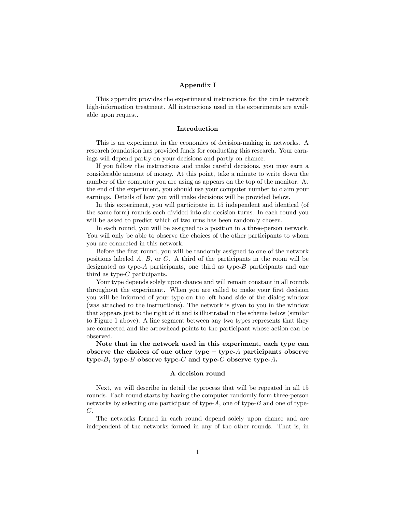## Appendix I

This appendix provides the experimental instructions for the circle network high-information treatment. All instructions used in the experiments are available upon request.

## Introduction

This is an experiment in the economics of decision-making in networks. A research foundation has provided funds for conducting this research. Your earnings will depend partly on your decisions and partly on chance.

If you follow the instructions and make careful decisions, you may earn a considerable amount of money. At this point, take a minute to write down the number of the computer you are using as appears on the top of the monitor. At the end of the experiment, you should use your computer number to claim your earnings. Details of how you will make decisions will be provided below.

In this experiment, you will participate in 15 independent and identical (of the same form) rounds each divided into six decision-turns. In each round you will be asked to predict which of two urns has been randomly chosen.

In each round, you will be assigned to a position in a three-person network. You will only be able to observe the choices of the other participants to whom you are connected in this network.

Before the first round, you will be randomly assigned to one of the network positions labeled A, B, or C. A third of the participants in the room will be designated as type- $A$  participants, one third as type- $B$  participants and one third as type-C participants.

Your type depends solely upon chance and will remain constant in all rounds throughout the experiment. When you are called to make your first decision you will be informed of your type on the left hand side of the dialog window (was attached to the instructions). The network is given to you in the window that appears just to the right of it and is illustrated in the scheme below (similar to Figure 1 above). A line segment between any two types represents that they are connected and the arrowhead points to the participant whose action can be observed.

Note that in the network used in this experiment, each type can observe the choices of one other type  $-$  type- $A$  participants observe type-B, type-B observe type-C and type-C observe type-A.

## A decision round

Next, we will describe in detail the process that will be repeated in all 15 rounds. Each round starts by having the computer randomly form three-person networks by selecting one participant of type- $A$ , one of type- $B$  and one of type-C.

The networks formed in each round depend solely upon chance and are independent of the networks formed in any of the other rounds. That is, in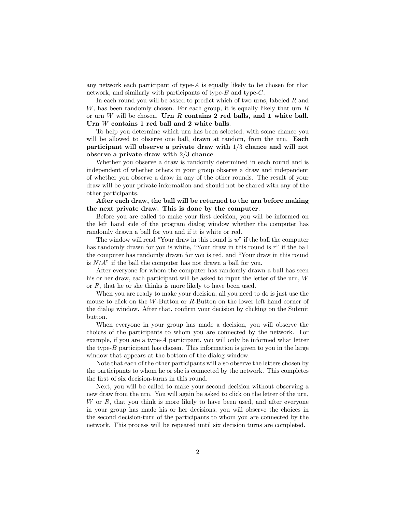any network each participant of type-A is equally likely to be chosen for that network, and similarly with participants of type-B and type-C.

In each round you will be asked to predict which of two urns, labeled R and  $W$ , has been randomly chosen. For each group, it is equally likely that urn  $R$ or urn W will be chosen. Urn R contains 2 red balls, and 1 white ball. Urn W contains 1 red ball and 2 white balls.

To help you determine which urn has been selected, with some chance you will be allowed to observe one ball, drawn at random, from the urn. Each participant will observe a private draw with 1/3 chance and will not observe a private draw with 2/3 chance.

Whether you observe a draw is randomly determined in each round and is independent of whether others in your group observe a draw and independent of whether you observe a draw in any of the other rounds. The result of your draw will be your private information and should not be shared with any of the other participants.

After each draw, the ball will be returned to the urn before making the next private draw. This is done by the computer.

Before you are called to make your first decision, you will be informed on the left hand side of the program dialog window whether the computer has randomly drawn a ball for you and if it is white or red.

The window will read "Your draw in this round is  $w$ " if the ball the computer has randomly drawn for you is white, "Your draw in this round is r" if the ball the computer has randomly drawn for you is red, and "Your draw in this round is  $N/A$ " if the ball the computer has not drawn a ball for you.

After everyone for whom the computer has randomly drawn a ball has seen his or her draw, each participant will be asked to input the letter of the urn, W or R, that he or she thinks is more likely to have been used.

When you are ready to make your decision, all you need to do is just use the mouse to click on the W-Button or R-Button on the lower left hand corner of the dialog window. After that, confirm your decision by clicking on the Submit button.

When everyone in your group has made a decision, you will observe the choices of the participants to whom you are connected by the network. For example, if you are a type-A participant, you will only be informed what letter the type- $B$  participant has chosen. This information is given to you in the large window that appears at the bottom of the dialog window.

Note that each of the other participants will also observe the letters chosen by the participants to whom he or she is connected by the network. This completes the first of six decision-turns in this round.

Next, you will be called to make your second decision without observing a new draw from the urn. You will again be asked to click on the letter of the urn, W or R, that you think is more likely to have been used, and after everyone in your group has made his or her decisions, you will observe the choices in the second decision-turn of the participants to whom you are connected by the network. This process will be repeated until six decision turns are completed.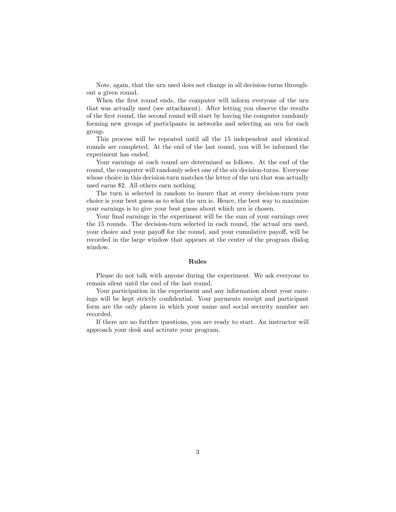Note, again, that the urn used does not change in all decision-turns throughout a given round.

When the first round ends, the computer will inform everyone of the urn that was actually used (see attachment). After letting you observe the results of the first round, the second round will start by having the computer randomly forming new groups of participants in networks and selecting an urn for each group.

This process will be repeated until all the 15 independent and identical rounds are completed. At the end of the last round, you will be informed the experiment has ended.

Your earnings at each round are determined as follows. At the end of the round, the computer will randomly select one of the six decision-turns. Everyone whose choice in this decision-turn matches the letter of the urn that was actually used earns \$2. All others earn nothing.

The turn is selected in random to insure that at every decision-turn your choice is your best guess as to what the urn is. Hence, the best way to maximize your earnings is to give your best guess about which urn is chosen.

Your final earnings in the experiment will be the sum of your earnings over the 15 rounds. The decision-turn selected in each round, the actual urn used, your choice and your payoff for the round, and your cumulative payoff, will be recorded in the large window that appears at the center of the program dialog window.

## Rules

Please do not talk with anyone during the experiment. We ask everyone to remain silent until the end of the last round.

Your participation in the experiment and any information about your earnings will be kept strictly confidential. Your payments receipt and participant form are the only places in which your name and social security number are recorded.

If there are no further questions, you are ready to start. An instructor will approach your desk and activate your program.